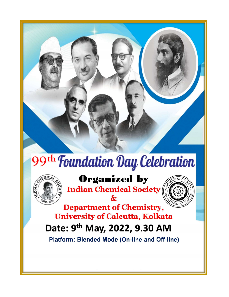

# 99<sup>th</sup> Foundation Day Celebration



## **Organized by**

**Indian Chemical Society** 



**Department of Chemistry, University of Calcutta, Kolkata** 

# Date: 9<sup>th</sup> May, 2022, 9.30 AM

**Platform: Blended Mode (On-line and Off-line)**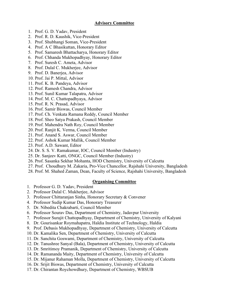#### Advisory Committee

- 1. Prof. G. D. Yadav, President
- 2. Prof. R. D. Kaushik, Vice-President
- 3. Prof. Shubhangi Soman, Vice-President
- 4. Prof. A C Bhasikuttan, Honorary Editor
- 5. Prof. Samaresh Bhattacharya, Honorary Editor
- 6. Prof. Chhanda Mukhopadhyay, Honorary Editor
- 7. Prof. Suresh C. Ameta, Advisor
- 8. Prof. Dulal C. Mukherjee, Advisor
- 9. Prof. D. Banerjea, Advisor
- 10. Prof. Jai P. Mittal, Advisor
- 11. Prof. K. B. Pandeya, Advisor
- 12. Prof. Ramesh Chandra, Advisor
- 13. Prof. Sunil Kumar Talapatra, Advisor
- 14. Prof. M. C. Chattopadhyaya, Advisor
- 15. Prof. R. N. Prasad, Advisor
- 16. Prof. Samir Biswas, Council Member
- 17. Prof. Ch. Venkata Ramana Reddy, Council Member
- 18. Prof. Sheo Satya Prakash, Council Member
- 19. Prof. Mahendra Nath Roy, Council Member
- 20. Prof. Ranjit K. Verma, Council Member
- 21. Prof. Anand S. Aswar, Council Member
- 22. Prof. Ashok Kumar Mallik, Council Member
- 23. Prof. A.D. Sawant, Editor
- 24. Dr. S. S. V. Ramakumar, IOC, Council Member (Industry)
- 25. Dr. Sanjeev Katti, ONGC, Council Member (Industry)
- 26. Prof. Sasanka Sekhar Mohanta, HOD Chemistry, University of Calcutta
- 27. Prof. Choudhury M. Zakaria, Pro-Vice Chancellor, Rajshahi University, Bangladesh
- 28. Prof. M. Shahed Zaman, Dean, Faculty of Science, Rajshahi University, Bangladesh

#### Organising Committee

- 1. Professor G. D. Yadav, President
- 2. Professor Dulal C. Mukherjee, Advisor
- 3. Professor Chittaranjan Sinha, Honorary Secretary & Convener
- 4. Professor Sudip Kumar Das, Honorary Treasurer
- 5. Dr. Nibedita Chakrabarti, Council Member
- 6. Professor Sourav Das, Department of Chemistry, Jadavpur University
- 7. Professor Surajit Chattopadhyay, Department of Chemistry, University of Kalyani
- 8. Dr. Gourisankar Roymahapatra, Haldia Institute of Technology, Haldia
- 9. Prof. Debasis Mukhopadhyay, Department of Chemistry, University of Calcutta
- 10. Dr. Kamalika Sen, Department of Chemistry, University of Calcutta
- 11. Dr. Sanchita Goswami, Department of Chemistry, University of Calcutta
- 12. Dr. Tanushree Sanyal (Bala), Department of Chemistry, University of Calcutta
- 13. Dr. Smritimoy Pramanik, Department of Chemistry, University of Calcutta
- 14. Dr. Ramananda Maity, Department of Chemistry, University of Calcutta
- 15. Dr. Mijanur Rahaman Molla, Department of Chemistry, University of Calcutta
- 16. Dr. Srijit Biswas, Department of Chemistry, University of Calcutta
- 17. Dr. Chirantan Roychowdhury, Department of Chemistry, WBSUB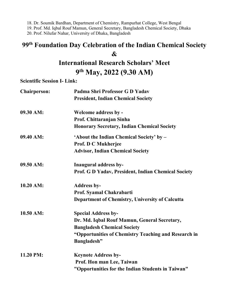18. Dr. Soumik Bardhan, Department of Chemistry, Rampurhat College, West Bengal

19. Prof. Md. Iqbal Rouf Mamun, General Secretary, Bangladesh Chemical Society, Dhaka

20. Prof. Nilufar Nahar, University of Dhaka, Bangladesh

## 99th Foundation Day Celebration of the Indian Chemical Society &

## International Research Scholars' Meet 9<sup>th</sup> May, 2022 (9.30 AM)

Scientific Session I- Link:

| <b>Chairperson:</b> | Padma Shri Professor G D Yadav                       |
|---------------------|------------------------------------------------------|
|                     | <b>President, Indian Chemical Society</b>            |
| 09.30 AM:           | <b>Welcome address by -</b>                          |
|                     | Prof. Chittaranjan Sinha                             |
|                     | <b>Honorary Secretary, Indian Chemical Society</b>   |
| 09.40 AM:           | 'About the Indian Chemical Society' by -             |
|                     | <b>Prof. D C Mukherjee</b>                           |
|                     | <b>Advisor, Indian Chemical Society</b>              |
| 09.50 AM:           | Inaugural address by-                                |
|                     | Prof. G D Yadav, President, Indian Chemical Society  |
| 10.20 AM:           | <b>Address by-</b>                                   |
|                     | Prof. Syamal Chakrabarti                             |
|                     | Department of Chemistry, University of Calcutta      |
| 10.50 AM:           | <b>Special Address by-</b>                           |
|                     | Dr. Md. Iqbal Rouf Mamun, General Secretary,         |
|                     | <b>Bangladesh Chemical Society</b>                   |
|                     | "Opportunities of Chemistry Teaching and Research in |
|                     | <b>Bangladesh</b> "                                  |
| 11.20 PM:           | <b>Keynote Address by-</b>                           |
|                     | Prof. Hon man Lee, Taiwan                            |
|                     | "Opportunities for the Indian Students in Taiwan"    |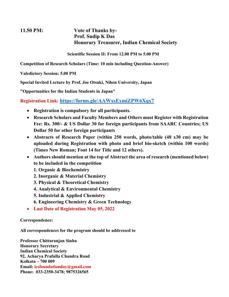## 11.50 PM: Vote of Thanks by-Prof. Sudip K Das Honorary Treasurer, Indian Chemical Society

Scientific Session II: From 12.00 PM to 5.00 PM

Competition of Research Scholars (Time: 10 min including Question-Answer)

Valedictory Session: 5.00 PM

Special Invited Lecture by Prof. Joe Otsuki, Nihon University, Japan

"Opportunities for the Indian Students in Japan"

Registration Link: https://forms.gle/AAWxsExmiZPW6Xqx7

- Registration is compulsory for all participants.
- Research Scholars and Faculty Members and Others must Register with Registration Fee: Rs. 300/- & US Dollar 30 for foreign participants from SAARC Countries; US Dollar 50 for other foreign participants
- Abstracts of Research Paper (within 250 words, photo/table (40 x30 cm) may be uploaded during Registration with photo and brief bio-sketch (within 100 words) (Times New Roman; Font 14 for Title and 12 others).
- Authors should mention at the top of Abstract the area of research (mentioned below) to be included in the competition
	- 1. Organic & Biochemistry
	- 2. Inorganic & Material Chemistry
	- 3. Physical & Theoretical Chemistry
	- 4. Analytical & Environmental Chemistry
	- 5. Industrial & Applied Chemistry
	- 6. Engineering Chemistry & Green Technology
- Last Date of Registration May 05, 2022

### Correspondence:

All correspondences for the program should be addressed to

Professor Chittaranjan Sinha Honorary Secretary Indian Chemical Society 92, Acharya Prafulla Chandra Road Kolkata – 700 009 Email: icsfoundationday@gmail.com Phone: 033-2350-3478; 9875326565